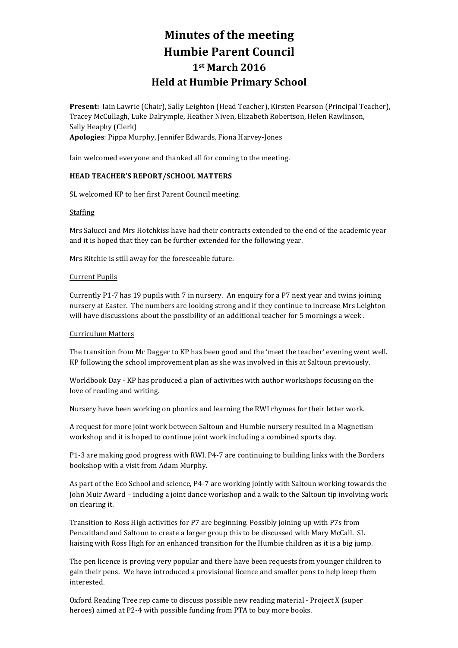# **Minutes of the meeting Humbie Parent Council 1st March 2016 Held at Humbie Primary School**

Present: Iain Lawrie (Chair), Sally Leighton (Head Teacher), Kirsten Pearson (Principal Teacher), Tracey McCullagh, Luke Dalrymple, Heather Niven, Elizabeth Robertson, Helen Rawlinson, Sally Heaphy (Clerk) Apologies: Pippa Murphy, Jennifer Edwards, Fiona Harvey-Jones

Iain welcomed everyone and thanked all for coming to the meeting.

# **HEAD TEACHER'S REPORT/SCHOOL MATTERS**

SL welcomed KP to her first Parent Council meeting.

#### Staffing

Mrs Salucci and Mrs Hotchkiss have had their contracts extended to the end of the academic year and it is hoped that they can be further extended for the following year.

Mrs Ritchie is still away for the foreseeable future.

#### **Current Pupils**

Currently P1-7 has 19 pupils with 7 in nursery. An enquiry for a P7 next year and twins joining nursery at Easter. The numbers are looking strong and if they continue to increase Mrs Leighton will have discussions about the possibility of an additional teacher for 5 mornings a week.

#### Curriculum Matters

The transition from Mr Dagger to KP has been good and the 'meet the teacher' evening went well. KP following the school improvement plan as she was involved in this at Saltoun previously.

Worldbook Day - KP has produced a plan of activities with author workshops focusing on the love of reading and writing.

Nursery have been working on phonics and learning the RWI rhymes for their letter work.

A request for more joint work between Saltoun and Humbie nursery resulted in a Magnetism workshop and it is hoped to continue joint work including a combined sports day.

P1-3 are making good progress with RWI. P4-7 are continuing to building links with the Borders bookshop with a visit from Adam Murphy.

As part of the Eco School and science, P4-7 are working jointly with Saltoun working towards the John Muir Award – including a joint dance workshop and a walk to the Saltoun tip involving work on clearing it.

Transition to Ross High activities for P7 are beginning. Possibly joining up with P7s from Pencaitland and Saltoun to create a larger group this to be discussed with Mary McCall. SL liaising with Ross High for an enhanced transition for the Humbie children as it is a big jump.

The pen licence is proving very popular and there have been requests from younger children to gain their pens. We have introduced a provisional licence and smaller pens to help keep them interested.

Oxford Reading Tree rep came to discuss possible new reading material - Project X (super heroes) aimed at P2-4 with possible funding from PTA to buy more books.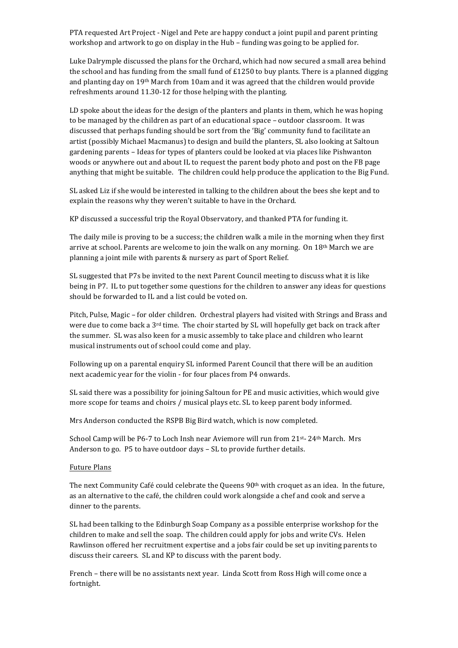PTA requested Art Project - Nigel and Pete are happy conduct a joint pupil and parent printing workshop and artwork to go on display in the Hub – funding was going to be applied for.

Luke Dalrymple discussed the plans for the Orchard, which had now secured a small area behind the school and has funding from the small fund of  $£1250$  to buy plants. There is a planned digging and planting day on  $19<sup>th</sup>$  March from 10am and it was agreed that the children would provide refreshments around 11.30-12 for those helping with the planting.

LD spoke about the ideas for the design of the planters and plants in them, which he was hoping to be managed by the children as part of an educational space  $-$  outdoor classroom. It was discussed that perhaps funding should be sort from the 'Big' community fund to facilitate an artist (possibly Michael Macmanus) to design and build the planters, SL also looking at Saltoun gardening parents – Ideas for types of planters could be looked at via places like Pishwanton woods or anywhere out and about IL to request the parent body photo and post on the FB page anything that might be suitable. The children could help produce the application to the Big Fund.

SL asked Liz if she would be interested in talking to the children about the bees she kept and to explain the reasons why they weren't suitable to have in the Orchard.

KP discussed a successful trip the Royal Observatory, and thanked PTA for funding it.

The daily mile is proving to be a success; the children walk a mile in the morning when they first arrive at school. Parents are welcome to join the walk on any morning. On  $18<sup>th</sup>$  March we are planning a joint mile with parents & nursery as part of Sport Relief.

SL suggested that P7s be invited to the next Parent Council meeting to discuss what it is like being in P7. IL to put together some questions for the children to answer any ideas for questions should be forwarded to IL and a list could be voted on.

Pitch, Pulse, Magic - for older children. Orchestral players had visited with Strings and Brass and were due to come back a  $3<sup>rd</sup>$  time. The choir started by SL will hopefully get back on track after the summer. SL was also keen for a music assembly to take place and children who learnt musical instruments out of school could come and play.

Following up on a parental enquiry SL informed Parent Council that there will be an audition next academic year for the violin - for four places from P4 onwards.

SL said there was a possibility for joining Saltoun for PE and music activities, which would give more scope for teams and choirs / musical plays etc. SL to keep parent body informed.

Mrs Anderson conducted the RSPB Big Bird watch, which is now completed.

School Camp will be P6-7 to Loch Insh near Aviemore will run from 21st- 24th March. Mrs Anderson to go. P5 to have outdoor days - SL to provide further details.

#### Future Plans

The next Community Café could celebrate the Queens  $90<sup>th</sup>$  with croquet as an idea. In the future, as an alternative to the café, the children could work alongside a chef and cook and serve a dinner to the parents.

SL had been talking to the Edinburgh Soap Company as a possible enterprise workshop for the children to make and sell the soap. The children could apply for jobs and write CVs. Helen Rawlinson offered her recruitment expertise and a jobs fair could be set up inviting parents to discuss their careers. SL and KP to discuss with the parent body.

French – there will be no assistants next year. Linda Scott from Ross High will come once a fortnight.